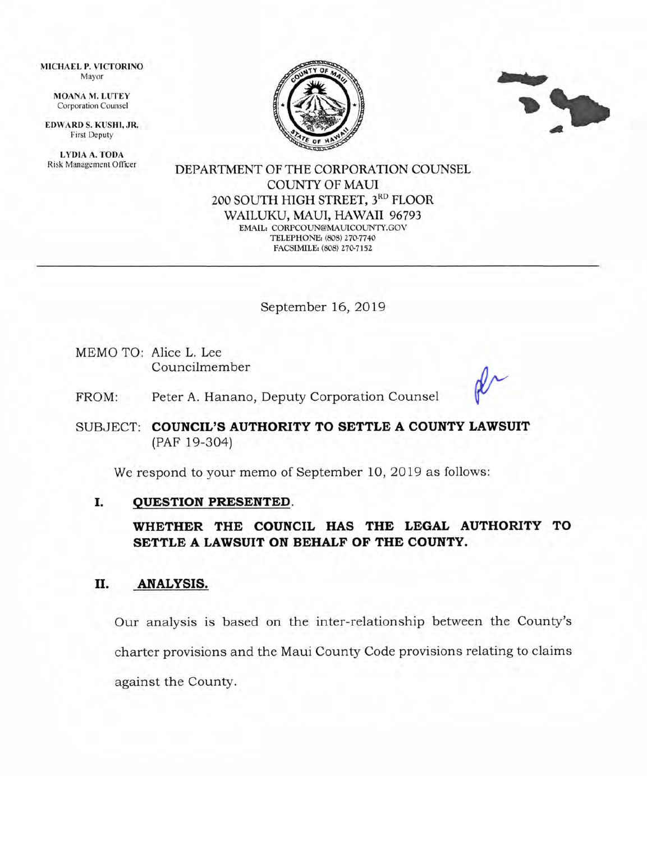MICHAEL P. VICTORINO Mayor

> MOANA M. LUTEY Corporation Counsel

EDWARD S. KUSHI, JR. First Deputy

LYDIA A. TODA Risk Management Officer





DEPARTMENT OF THE CORPORATION COLINSEL COLINTY OF MAUI 200 SOUTH HIGH STREET, 3RD FLOOR WAILUKU, MAUI, HAWAII 96793 EMAIL, CORPCOLN@MAUTCOLNTY.GOV TELEPHONE: (808) 270-7740 FACSIMILE: (808) 270-7152

September 16, 2OI9

MEMO TO: Alice L. Lee Councilmember

FROM: Peter A. Hanano, Deputy Corporation Counsel

SUBJECT: COUNCIL'S AUTHORITY TO SETTLE A COUNTY LAWSUIT (PAF 19-304)

We respond to your memo of September 10, 2OI9 as follows:

#### OUESTION PRESENTED. I

WHETHER THE COUNCIL HAS THE LEGAL AUTHORITY TO SETTLE A LAWSUIT ON BEHALF OF THE COUNTY.

#### II. ANALYSIS.

Our analysis is based on the inter-relationship between the County's charter provisions and the Maui County Code provisions relating to claims against the County.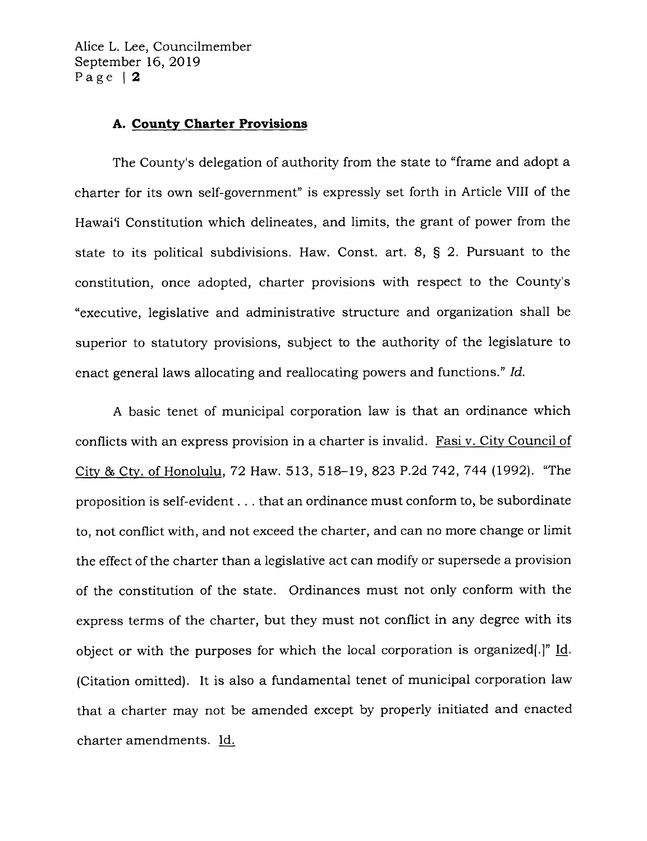Alice L. Lee, Councilmember September 16, 2019 Page | 2

#### A. County Charter Provisions

The County's delegation of authority from the state to "frame and adopt a charter for its own self-government" is expressly set forth in Article VIII of the Hawai'i Constitution which delineates, and limits, the grant of power from the state to its political subdivisions, Haw. Const. art. 8, S 2. Fursuant to the constitution, once adopted, charter provisions with respect to the County's "executive, legislative and administrative structure and organization shall be superior to statutory provisions, subject to the authority of the legislature to enact general laws allocating and reallocating powers and functions." Id.

A basic tenet of municipal corporation law is that an ordinance which conflicts with an express provision in a charter is invalid. Fasi v. City Council of City & Cty. of Honolulu, 72 Haw. 513, 518-19, 823 P.2d 742, 744 (1992). "The proposition is self-evident . . . that an ordinance must conform to, be subordinate to, not conflict with, and not exceed the charter, and can no more change or limit the effect of the charter than a legislative act can modify or supersede a provision of the constitution of the state. Ordinances must not only conform with the express terms of the charter, but they must not conflict in any degree with its object or with the purposes for which the local corporation is organized[.]" Id. (Citation omitted). It is also a fundamental tenet of municipal corporation law that a charter may not be amended except by properly initiated and enacted charter amendments. Id.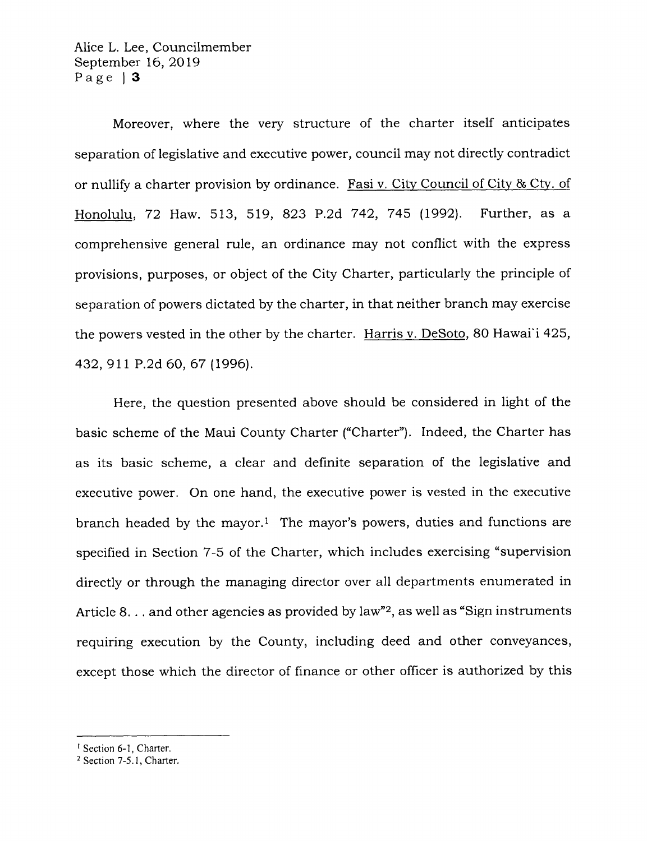Alice L. Lee, Councilmember September 16,2Ol9 Page | 3

Moreover, where the very structure of the charter itself anticipates separation of legislative and executive power, council may not directly contradict or nullify a charter provision by ordinance. Fasi v. City Council of Citv & CW. of Honolulu, T2 Haw. 513, 519, 823 P.2d 742,745 (1992). Further, as <sup>a</sup> comprehensive general rule, an ordinance may not conflict with the express provisions, purposes, or object of the City Charter, particularly the principle of separation of powers dictated by the charter, in that neither branch may exercise the powers vested in the other by the charter. Harris v. DeSoto, 80 Hawai'i 425, 432,911 P.2d 60,67 (1996).

Here, the question presented above should be considered in light of the basic scheme of the Maui County Charter ("Charter"). Indeed, the Charter has as its basic scheme, a clear and definite separation of the legislative and executive power. On one hand, the executive power is vested in the executive branch headed by the mayor.<sup>1</sup> The mayor's powers, duties and functions are specified in Section 7-5 of the Charter, which includes exercising "supervision directly or through the managing director over all departments enumerated in Article 8. . . and other agencies as provided by law"<sup>2</sup>, as well as "Sign instruments" requiring execution by the County, including deed and other conveyances, except those which the director of finance or other officer is authorized by this

<sup>1</sup> Section 6-1, Charter.

 $2$  Section 7-5.1, Charter.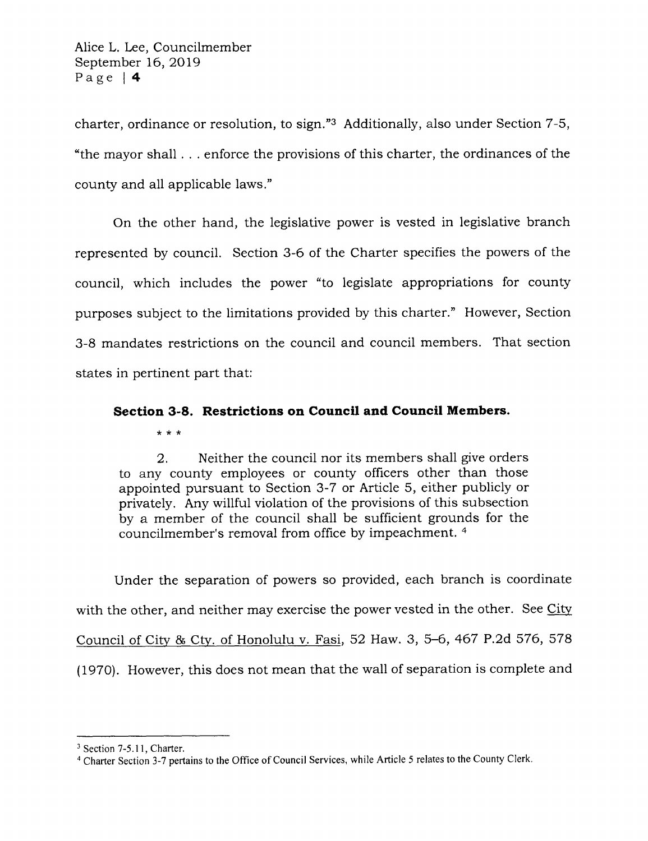charter, ordinance or resolution, to sign."3 Additionally, also under Section 7-5, "the mayor shall . . . enforce the provisions of this charter, the ordinances of the county and all applicable laws,"

On the other hand, the legislative power is vested in legislative branch represented by council. Section 3-6 of the Charter specifies the powers of the council, which includes the power "to legislate appropriations for county purposes subject to the limitations provided by this charter." However, Section 3-8 mandates restrictions on the council and council members. That section states in pertinent part that:

# Section 3-8. Restrictions on Council and Council Members.

\*rr\*

2. Neither the council nor its members shall give orders to any county employees or county officers other than those appointed pursuant to Section 3-7 or Article 5, either publicly or privately. Any willful violation of the provisions of this subsection by a member of the council shall be sufficient grounds for the councilmember's removal from office by impeachment. <sup>4</sup>

Under the separation of powers so provided, each branch is coordinate with the other, and neither may exercise the power vested in the other. See Citv Council of City & Cty. of Honolulu v. Fasi, 52 Haw. 3, 5-6, 467 P.2d 576, 578 (1970). However, this does not mean that the wall of separation is complete and

<sup>&</sup>lt;sup>3</sup> Section 7-5.11, Charter.

<sup>&</sup>lt;sup>4</sup> Charter Section 3-7 pertains to the Office of Council Services, while Article 5 relates to the County Clerk.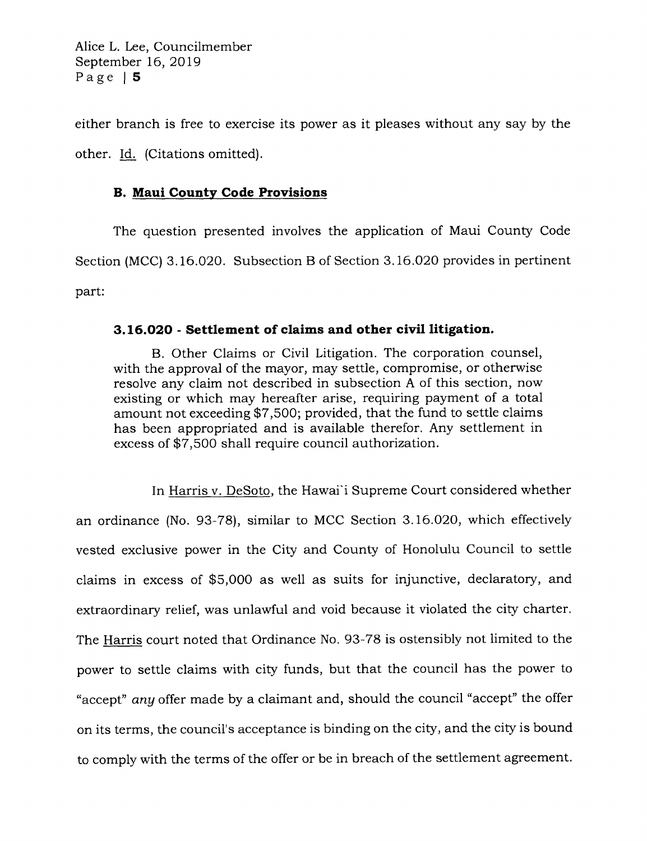Alice L. Lee, Councilmember September 16,2079 Page | 5

either branch is free to exercise its power as it pleases without any say by the other. Id. (Citations omitted).

## **B. Maui County Code Provisions**

The question presented involves the application of Maui County Code Section (MCC) 3.16.020. Subsection B of Section 3.16.020 provides in pertinent part:

#### 3.16.020 - Settlement of claims and other civil litigation.

B. Other Claims or Civil Litigation. The corporation counsel, with the approval of the mayor, may settle, compromise, or otherwise resolve any claim not described in subsection A of this section, now existing or which may hereafter arise, requiring payment of a total amount not exceeding \$7,500; provided, that the fund to settle claims has been appropriated and is available therefor. Any settlement in excess of \$7,500 shall require council authorization.

In Harris v. DeSoto, the Hawai'i Supreme Court considered whether an ordinance (No. 93-78), similar to MCC Section 3.L6.O2O, which effectively vested exclusive power in the City and County of Honolulu Council to settle claims in excess of \$5,000 as well as suits for injunctive, declaratory, and extraordinary relief, was unlawful and void because it violated the city charter. The Harris court noted that Ordinance No. 93-78 is ostensibly not limited to the power to settle claims with city funds, but that the council has the power to "accept" any offer made by a claimant and, should the council "accept" the offer on its terms, the council's acceptance is binding on the city, and the city is bound to comply with the terms of the offer or be in breach of the settlement agreement.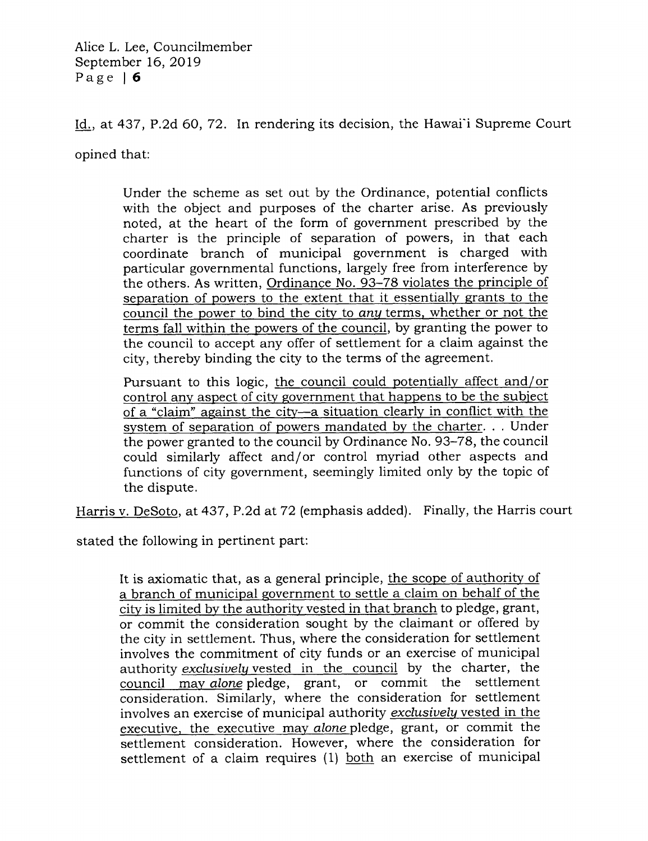Alice L. Lee, Councilmember September 16,2Ol9 Page | 6

Id., at 437, P.2d 60, 72. In rendering its decision, the Hawai'i Supreme Court

opined that:

Under the scheme as set out by the Ordinance, potential conflicts with the object and purposes of the charter arise. As previously noted, at the heart of the form of government prescribed by the charter is the principle of separation of powers, in that each coordinate branch of municipal government is charged with particular governmental functions, largely free from interference by the others. As written, Ordinance No. 93-78 violates the principle of separation of powers to the extent that it essentially grants to the council the power to bind the city to *any* terms, whether or not the terms fall within the powers of the council, by granting the power to the council to accept any offer of settlement for a claim against the city, thereby binding the city to the terms of the agreement.

Pursuant to this logic, the council could potentially affect and/or l any aspect of city government that of a "claim" against the citv-a situation clearlv in conflict with the system of separation of powers mandated by the charter. . . Under the power granted to the council by Ordinance No. 93-78, the council could similarly affect and/or control myriad other aspects and functions of city government, seemingly limited only by the topic of the dispute.

Harris v. DeSoto, at 437, P.2d at 72 (emphasis added). Finally, the Harris court

stated the following in pertinent part:

It is axiomatic that, as a general principle, the scope of authority of a branch of municipal government to settle a claim on behalf of the city is limited by the authority vested in that branch to pledge, grant, or commit the consideration sought by the claimant or offered by the city in settlement. Thus, where the consideration for settlement involves the commitment of city funds or an exercise of municipal authority *exclusively* vested in the council by the charter, the council may alone pledge, grant, or commit the settlement consideration. Similarly, where the consideration for settlement involves an exercise of municipal authority exclusively vested in the executive. the executive mav alone pledge, grant, or commit the settlement consideration. However, where the consideration for settlement of a claim requires (1) both an exercise of municipal